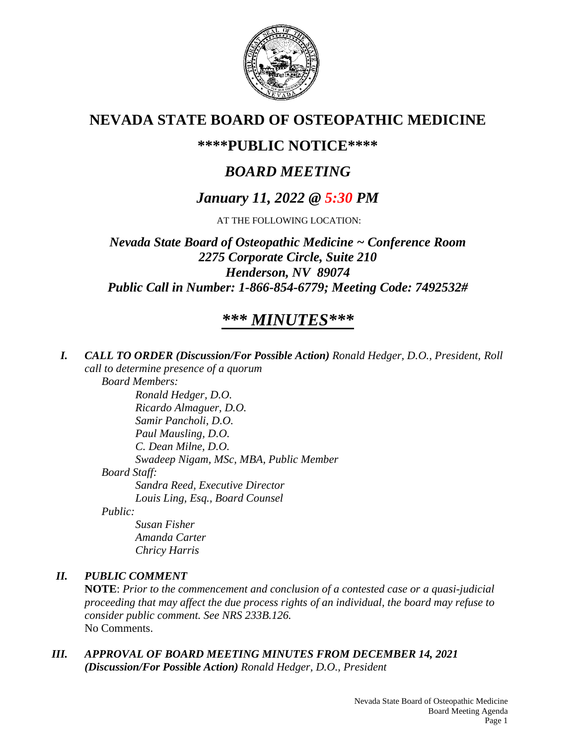

# **NEVADA STATE BOARD OF OSTEOPATHIC MEDICINE**

# **\*\*\*\*PUBLIC NOTICE\*\*\*\***

# *BOARD MEETING*

# *January 11, 2022 @ 5:30 PM*

AT THE FOLLOWING LOCATION:

*Nevada State Board of Osteopathic Medicine ~ Conference Room 2275 Corporate Circle, Suite 210 Henderson, NV 89074 Public Call in Number: 1-866-854-6779; Meeting Code: 7492532#*

# *\*\*\* MINUTES\*\*\**

*I. CALL TO ORDER (Discussion/For Possible Action) Ronald Hedger, D.O., President, Roll call to determine presence of a quorum Board Members: Ronald Hedger, D.O. Ricardo Almaguer, D.O. Samir Pancholi, D.O. Paul Mausling, D.O.*

*C. Dean Milne, D.O. Swadeep Nigam, MSc, MBA, Public Member*

*Board Staff:*

*Sandra Reed, Executive Director Louis Ling, Esq., Board Counsel*

*Public:*

*Susan Fisher Amanda Carter Chricy Harris*

# *II. PUBLIC COMMENT*

**NOTE**: *Prior to the commencement and conclusion of a contested case or a quasi-judicial proceeding that may affect the due process rights of an individual, the board may refuse to consider public comment. See NRS 233B.126.* No Comments.

*III. APPROVAL OF BOARD MEETING MINUTES FROM DECEMBER 14, 2021 (Discussion/For Possible Action) Ronald Hedger, D.O., President*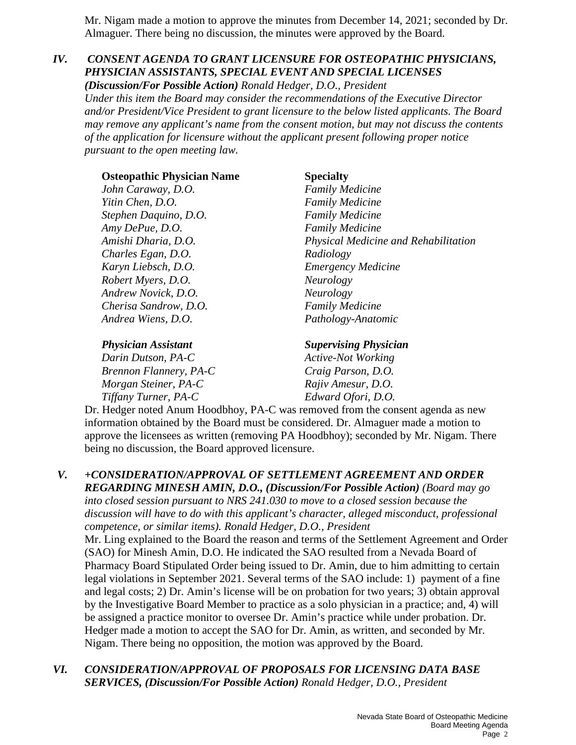Mr. Nigam made a motion to approve the minutes from December 14, 2021; seconded by Dr. Almaguer. There being no discussion, the minutes were approved by the Board.

# *IV. CONSENT AGENDA TO GRANT LICENSURE FOR OSTEOPATHIC PHYSICIANS, PHYSICIAN ASSISTANTS, SPECIAL EVENT AND SPECIAL LICENSES*

*(Discussion/For Possible Action) Ronald Hedger, D.O., President Under this item the Board may consider the recommendations of the Executive Director and/or President/Vice President to grant licensure to the below listed applicants. The Board may remove any applicant's name from the consent motion, but may not discuss the contents of the application for licensure without the applicant present following proper notice pursuant to the open meeting law.*

| <b>Osteopathic Physician Name</b> | <b>Specialty</b>                     |
|-----------------------------------|--------------------------------------|
| John Caraway, D.O.                | <b>Family Medicine</b>               |
| Yitin Chen, D.O.                  | <b>Family Medicine</b>               |
| Stephen Daquino, D.O.             | <b>Family Medicine</b>               |
| Amy DePue, D.O.                   | <b>Family Medicine</b>               |
| Amishi Dharia, D.O.               | Physical Medicine and Rehabilitation |
| Charles Egan, D.O.                | Radiology                            |
| Karyn Liebsch, D.O.               | <b>Emergency Medicine</b>            |
| Robert Myers, D.O.                | <i>Neurology</i>                     |
| Andrew Novick, D.O.               | Neurology                            |
| Cherisa Sandrow, D.O.             | <b>Family Medicine</b>               |
| Andrea Wiens, D.O.                | Pathology-Anatomic                   |

*Darin Dutson, PA-C Active-Not Working Brennon Flannery, PA-C Craig Parson, D.O. Morgan Steiner, PA-C* Rajiv Amesur, D.O. *Tiffany Turner, PA-C Edward Ofori, D.O.*

*Physician Assistant Supervising Physician*

Dr. Hedger noted Anum Hoodbhoy, PA-C was removed from the consent agenda as new information obtained by the Board must be considered. Dr. Almaguer made a motion to approve the licensees as written (removing PA Hoodbhoy); seconded by Mr. Nigam. There being no discussion, the Board approved licensure.

### *V. +CONSIDERATION/APPROVAL OF SETTLEMENT AGREEMENT AND ORDER REGARDING MINESH AMIN, D.O., (Discussion/For Possible Action) (Board may go*

*into closed session pursuant to NRS 241.030 to move to a closed session because the discussion will have to do with this applicant's character, alleged misconduct, professional competence, or similar items). Ronald Hedger, D.O., President*

Mr. Ling explained to the Board the reason and terms of the Settlement Agreement and Order (SAO) for Minesh Amin, D.O. He indicated the SAO resulted from a Nevada Board of Pharmacy Board Stipulated Order being issued to Dr. Amin, due to him admitting to certain legal violations in September 2021. Several terms of the SAO include: 1) payment of a fine and legal costs; 2) Dr. Amin's license will be on probation for two years; 3) obtain approval by the Investigative Board Member to practice as a solo physician in a practice; and, 4) will be assigned a practice monitor to oversee Dr. Amin's practice while under probation. Dr. Hedger made a motion to accept the SAO for Dr. Amin, as written, and seconded by Mr. Nigam. There being no opposition, the motion was approved by the Board.

*VI. CONSIDERATION/APPROVAL OF PROPOSALS FOR LICENSING DATA BASE SERVICES, (Discussion/For Possible Action) Ronald Hedger, D.O., President*